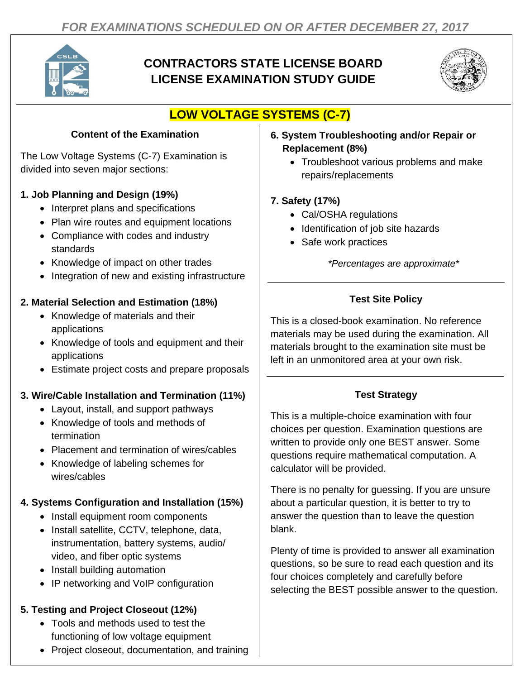

## **CONTRACTORS STATE LICENSE BOARD LICENSE EXAMINATION STUDY GUIDE**



# **LOW VOLTAGE SYSTEMS (C-7)**

### **Content of the Examination**

The Low Voltage Systems (C-7) Examination is divided into seven major sections:

### **1. Job Planning and Design (19%)**

- Interpret plans and specifications
- Plan wire routes and equipment locations
- Compliance with codes and industry standards
- Knowledge of impact on other trades
- Integration of new and existing infrastructure

#### **2. Material Selection and Estimation (18%)**

- Knowledge of materials and their applications
- Knowledge of tools and equipment and their applications
- Estimate project costs and prepare proposals

#### **3. Wire/Cable Installation and Termination (11%)**

- Layout, install, and support pathways
- Knowledge of tools and methods of termination
- Placement and termination of wires/cables
- Knowledge of labeling schemes for wires/cables

#### **4. Systems Configuration and Installation (15%)**

- Install equipment room components
- Install satellite, CCTV, telephone, data, instrumentation, battery systems, audio/ video, and fiber optic systems
- Install building automation
- IP networking and VoIP configuration

#### **5. Testing and Project Closeout (12%)**

- Tools and methods used to test the functioning of low voltage equipment
- Project closeout, documentation, and training
- **6. System Troubleshooting and/or Repair or Replacement (8%)**
	- Troubleshoot various problems and make repairs/replacements

### **7. Safety (17%)**

- Cal/OSHA regulations
- Identification of job site hazards
- Safe work practices

*\*Percentages are approximate\**

## **Test Site Policy**

This is a closed-book examination. No reference materials may be used during the examination. All materials brought to the examination site must be left in an unmonitored area at your own risk.

#### **Test Strategy**

This is a multiple-choice examination with four choices per question. Examination questions are written to provide only one BEST answer. Some questions require mathematical computation. A calculator will be provided.

There is no penalty for guessing. If you are unsure about a particular question, it is better to try to answer the question than to leave the question blank.

Plenty of time is provided to answer all examination questions, so be sure to read each question and its four choices completely and carefully before selecting the BEST possible answer to the question.